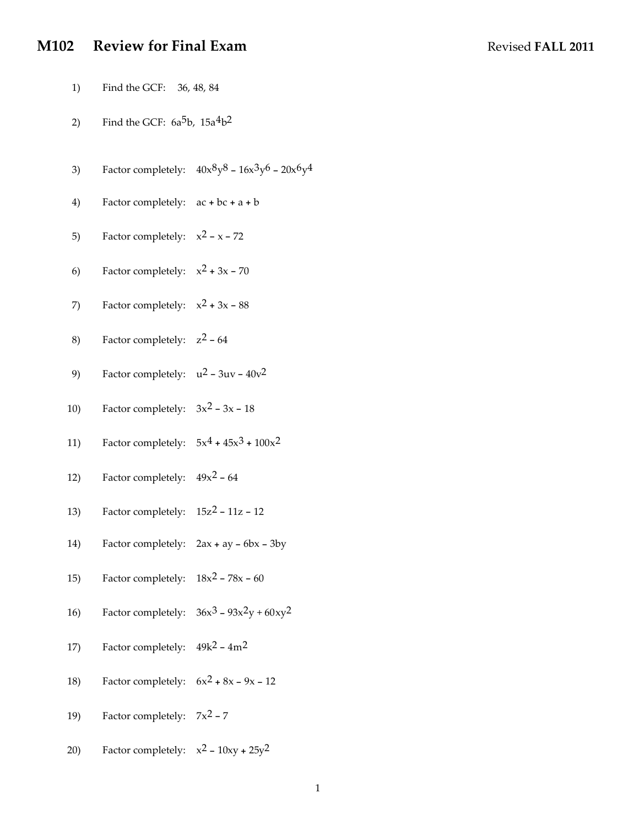# **M102 Review for Final Exam** Revised **FALL 2011**

1) Find the GCF: 36, 48, 84

- 2) Find the GCF:  $6a^5b$ ,  $15a^4b^2$
- 3) Factor completely:  $40x^8y^8 16x^3y^6 20x^6y^4$
- 4) Factor completely: ac + bc + a + b
- 5) Factor completely:  $x^2 x 72$
- 6) Factor completely:  $x^2 + 3x 70$
- 7) Factor completely:  $x^2 + 3x 88$
- 8) Factor completely: z2 64
- 9) Factor completely:  $u^2 3uv 40v^2$
- 10) Factor completely:  $3x^2 3x 18$
- 11) Factor completely:  $5x^4 + 45x^3 + 100x^2$
- 12) Factor completely:  $49x^2 64$
- 13) Factor completely:  $15z^2 11z 12$
- 14) Factor completely: 2ax + ay 6bx 3by
- 15) Factor completely:  $18x^2 78x 60$
- 16) Factor completely:  $36x^3 93x^2y + 60xy^2$
- 17) Factor completely:  $49k^2 4m^2$
- 18) Factor completely:  $6x^2 + 8x 9x 12$
- 19) Factor completely:  $7x^2 7$
- 20) Factor completely:  $x^2 10xy + 25y^2$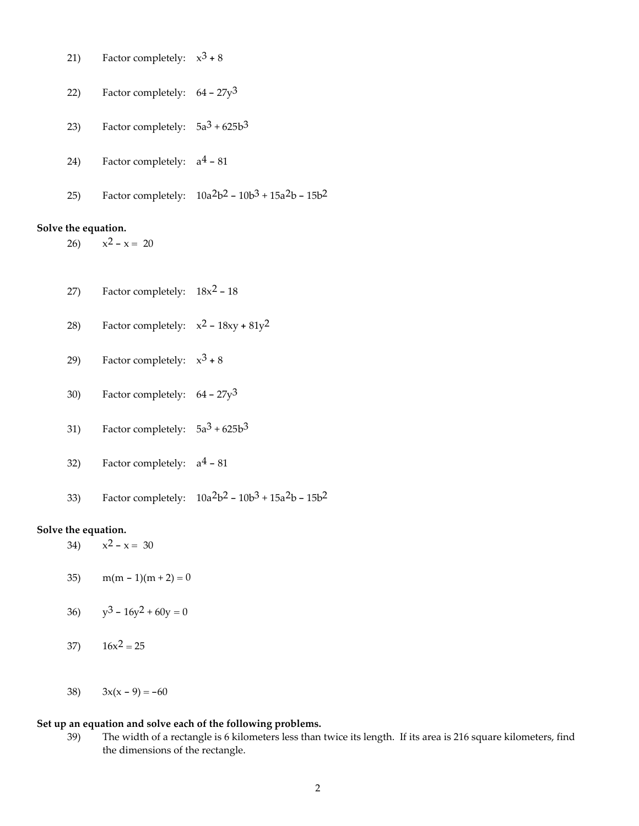21) Factor completely: 
$$
x^3 + 8
$$

$$
22) \qquad \text{Factor completely:} \quad 64 - 27y^3
$$

- 23) Factor completely:  $5a^3 + 625b^3$
- 24) Factor completely:  $a^4 81$
- 25) Factor completely:  $10a^2b^2 10b^3 + 15a^2b 15b^2$

#### **Solve the equation.**

26)  $x^2 - x = 20$ 

- 27) Factor completely:  $18x^2 18$
- 28) Factor completely:  $x^2 18xy + 81y^2$
- 29) Factor completely:  $x^3 + 8$
- 30) Factor completely:  $64 27y^3$
- 31) Factor completely:  $5a^3 + 625b^3$
- 32) Factor completely:  $a^4 81$
- 33) Factor completely:  $10a^2b^2 10b^3 + 15a^2b 15b^2$

### **Solve the equation.**

- 34)  $x^2 x = 30$
- 35) m(m 1)(m + 2) = 0
- 36)  $y^3 16y^2 + 60y = 0$
- 37)  $16x^2 = 25$
- 38)  $3x(x-9) = -60$

### **Set up an equation and solve each of the following problems.**

39) The width of a rectangle is 6 kilometers less than twice its length. If its area is 216 square kilometers, find the dimensions of the rectangle.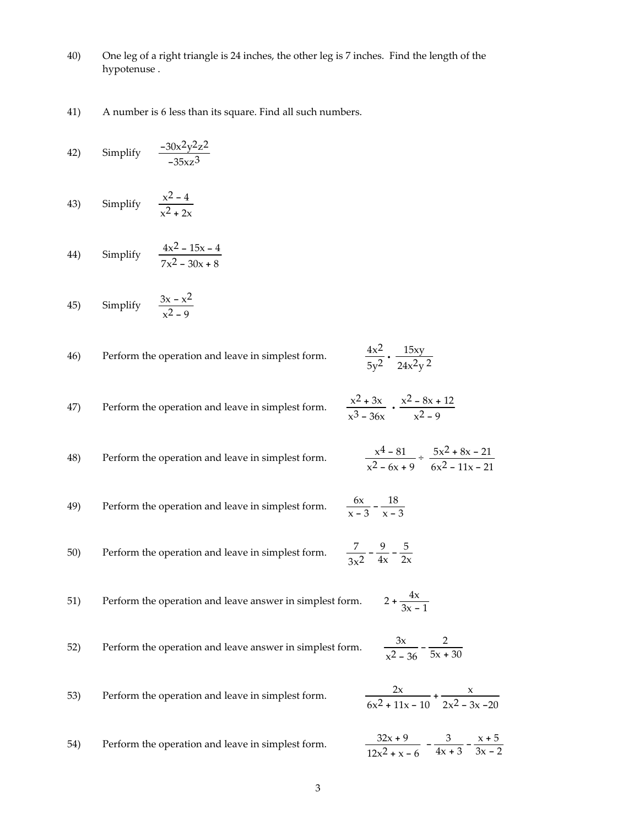- 40) One leg of a right triangle is 24 inches, the other leg is 7 inches. Find the length of the hypotenuse .
- 41) A number is 6 less than its square. Find all such numbers.

42) Simplify 
$$
\frac{-30x^2y^2z^2}{-35xz^3}
$$

43) Simplify 
$$
\frac{x^2 - 4}{x^2 + 2x}
$$

44) Simplify 
$$
\frac{4x^2 - 15x - 4}{7x^2 - 30x + 8}
$$

45) Simplify 
$$
\frac{3x - x^2}{x^2 - 9}
$$

| 46) | Perform the operation and leave in simplest form. | $4x^2$ 15xy<br>$5v^2$ $24x^2y^2$ |
|-----|---------------------------------------------------|----------------------------------|
|     |                                                   |                                  |

47) Perform the operation and leave in simplest form. 
$$
\frac{x^2 + 3x}{x^3 - 36x} \cdot \frac{x^2 - 8x + 12}{x^2 - 9}
$$

48) Perform the operation and leave in simplest form.  $x^2 - 6x + 9$  $\div \frac{5x^2 + 8x - 21}{2}$  $6x^2 - 11x - 21$ 

49) Perform the operation and leave in simplest form.  $\frac{6x}{x-3} - \frac{18}{x-3}$ 

50) Perform the operation and leave in simplest form.  $\frac{7}{3x^2} - \frac{9}{4x} - \frac{5}{2x}$ 

51) Perform the operation and leave answer in simplest form. 
$$
2 + \frac{4x}{3x - 1}
$$

52) Perform the operation and leave answer in simplest form. 
$$
\frac{3x}{x^2 - 36} - \frac{2}{5x + 30}
$$

33. Perform the operation and leave in simplest form.

\n
$$
\frac{2x}{6x^2 + 11x - 10} + \frac{x}{2x^2 - 3x - 20}
$$
\n34. Perform the operation and leave in simplest form.

\n
$$
\frac{32x + 9}{12x^2 + x - 6} - \frac{3}{4x + 3} - \frac{x + 5}{3x - 2}
$$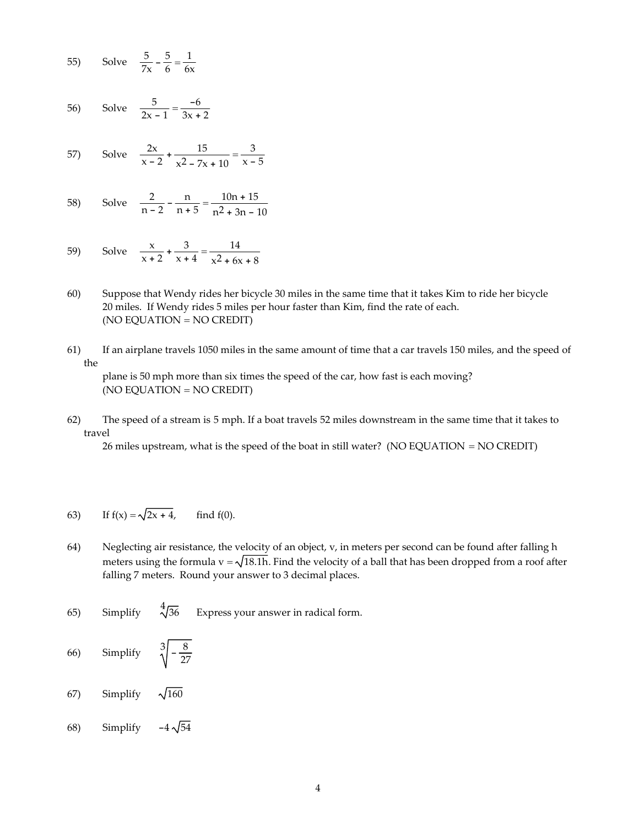55) Solve 
$$
\frac{5}{7x} - \frac{5}{6} = \frac{1}{6x}
$$

56) Solve 
$$
\frac{5}{2x-1} = \frac{-6}{3x+2}
$$

57) Solve 
$$
\frac{2x}{x-2} + \frac{15}{x^2 - 7x + 10} = \frac{3}{x-5}
$$

58) Solve 
$$
\frac{2}{n-2} - \frac{n}{n+5} = \frac{10n+15}{n^2+3n-10}
$$

59) Solve 
$$
\frac{x}{x+2} + \frac{3}{x+4} = \frac{14}{x^2 + 6x + 8}
$$

- 60) Suppose that Wendy rides her bicycle 30 miles in the same time that it takes Kim to ride her bicycle 20 miles. If Wendy rides 5 miles per hour faster than Kim, find the rate of each. (NO EQUATION = NO CREDIT)
- 61) If an airplane travels 1050 miles in the same amount of time that a car travels 150 miles, and the speed of the

plane is 50 mph more than six times the speed of the car, how fast is each moving? (NO EQUATION = NO CREDIT)

62) The speed of a stream is 5 mph. If a boat travels 52 miles downstream in the same time that it takes to travel

26 miles upstream, what is the speed of the boat in still water? (NO EQUATION = NO CREDIT)

63) If 
$$
f(x) = \sqrt{2x + 4}
$$
, find  $f(0)$ .

- 64) Neglecting air resistance, the velocity of an object, v, in meters per second can be found after falling h meters using the formula  $v = \sqrt{18.1h}$ . Find the velocity of a ball that has been dropped from a roof after falling 7 meters. Round your answer to 3 decimal places.
- 65) Simplify  $\sqrt[4]{36}$  Express your answer in radical form.
- 66) Simplify  $\sqrt[3]{\frac{8}{27}}$
- 67) Simplify  $\sqrt{160}$
- 68) Simplify  $-4\sqrt{54}$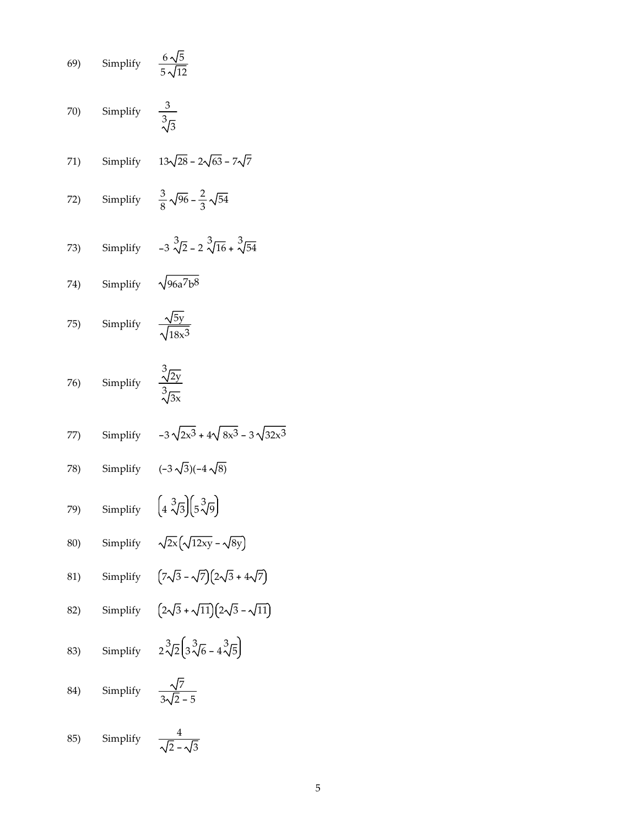69) Simplify 
$$
\frac{6\sqrt{5}}{5\sqrt{12}}
$$
  
\n70) Simplify  $\frac{3}{3\sqrt{3}}$   
\n71) Simplify  $13\sqrt{28} - 2\sqrt{63} - 7\sqrt{7}$   
\n72) Simplify  $3\sqrt{28} - 2\sqrt{63} - 7\sqrt{7}$   
\n73) Simplify  $-3\sqrt[3]{2} - 2\sqrt[3]{16} + \sqrt[3]{54}$   
\n74) Simplify  $\sqrt{96a^7b^8}$   
\n75) Simplify  $\frac{\sqrt{5y}}{\sqrt{18x^3}}$   
\n76) Simplify  $\frac{3\sqrt{2y}}{\sqrt{3x}}$   
\n77) Simplify  $-3\sqrt{2x^3} + 4\sqrt{8x^3} - 3\sqrt{32x^3}$   
\n78) Simplify  $(-3\sqrt{3})(-4\sqrt{8})$   
\n79) Simplify  $(4\sqrt[3]{3}(\sqrt{5}\sqrt{9}))$   
\n80) Simplify  $(7\sqrt{3} - \sqrt{7})(2\sqrt{3} + 4\sqrt{7})$   
\n81) Simplify  $(7\sqrt{3} - \sqrt{7})(2\sqrt{3} + 4\sqrt{7})$   
\n82) Simplify  $(2\sqrt{3} + \sqrt{11})(2\sqrt{3} - \sqrt{11})$   
\n83) Simplify  $2\sqrt[3]{2}(\sqrt[3]{6} - 4\sqrt[3]{5})$   
\n84) Simplify  $\frac{\sqrt{7}}{3\sqrt{2} - 5}$   
\n85) Simplify  $\frac{4}{\sqrt{2} - \sqrt{3}}$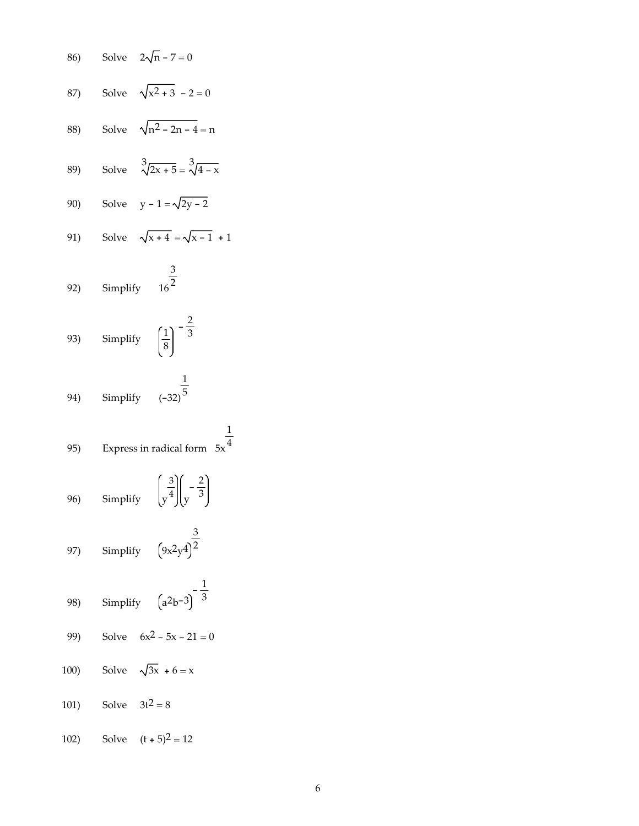86) Solve 
$$
2\sqrt{n} - 7 = 0
$$
  
\n87) Solve  $\sqrt{x^2 + 3} - 2 = 0$   
\n88) Solve  $\sqrt{n^2 - 2n - 4} = n$   
\n89) Solve  $\sqrt[3]{2x + 5} = \sqrt[3]{4 - x}$   
\n90) Solve  $y - 1 = \sqrt{2y - 2}$   
\n91) Solve  $\sqrt{x + 4} = \sqrt{x - 1} + 1$   
\n92) Simplify  $16^{\frac{3}{2}}$   
\n93) Simplify  $\left(\frac{1}{8}\right)^{-\frac{2}{3}}$   
\n94) Simplify  $(-32)^{\frac{1}{5}}$   
\n95) Express in radical form  $5x^{\frac{1}{4}}$   
\n96) Simplify  $\left(\frac{3}{y^4}\right)\left(\frac{2}{y^3}\right)^{\frac{3}{2}}$   
\n97) Simplify  $\left(9x^2y^4\right)^{\frac{3}{2}}$   
\n98) Simplify  $\left(2^2b^{-3}\right)^{-\frac{1}{3}}$   
\n99) Solve  $6x^2 - 5x - 21 = 0$   
\n100) Solve  $\sqrt{3x} + 6 = x$   
\n101) Solve  $3t^2 = 8$   
\n102) Solve  $(t + 5)^2 = 12$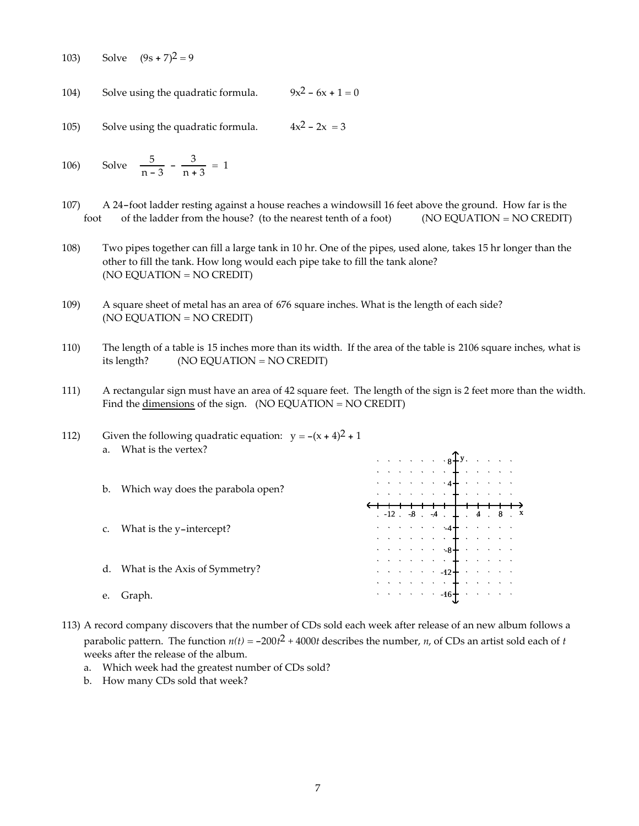103) Solve  $(9s + 7)^2 = 9$ 

104) Solve using the quadratic formula.  $9x^2 - 6x + 1 = 0$ 

105) Solve using the quadratic formula.  $4x^2 - 2x = 3$ 

106) Solve 
$$
\frac{5}{n-3} - \frac{3}{n+3} = 1
$$

- 107) A 24-foot ladder resting against a house reaches a windowsill 16 feet above the ground. How far is the foot of the ladder from the house? (to the nearest tenth of a foot) (NO EQUATION = NO CREDIT)
- 108) Two pipes together can fill a large tank in 10 hr. One of the pipes, used alone, takes 15 hr longer than the other to fill the tank. How long would each pipe take to fill the tank alone? (NO EQUATION = NO CREDIT)
- 109) A square sheet of metal has an area of 676 square inches. What is the length of each side? (NO EQUATION = NO CREDIT)
- 110) The length of a table is 15 inches more than its width. If the area of the table is 2106 square inches, what is its length? (NO EQUATION = NO CREDIT)
- 111) A rectangular sign must have an area of 42 square feet. The length of the sign is 2 feet more than the width. Find the dimensions of the sign.  $(NO EQUATION = NO CREDIT)$

| 112) | $a_{-}$ | Given the following quadratic equation: $y = -(x + 4)^2 + 1$<br>What is the vertex? |  |  |  |                                                                                                                                                                                                                                                       |  |  |                                        |
|------|---------|-------------------------------------------------------------------------------------|--|--|--|-------------------------------------------------------------------------------------------------------------------------------------------------------------------------------------------------------------------------------------------------------|--|--|----------------------------------------|
|      |         |                                                                                     |  |  |  | $\mathcal{L}(\mathcal{A}) \times \mathcal{L}(\mathcal{A}) \times \mathcal{A} \times \mathcal{A} \mathbf{F} \mathbf{y}, \quad \mathcal{L}(\mathcal{A}) \times \mathcal{A}$                                                                             |  |  |                                        |
|      |         |                                                                                     |  |  |  | $\mathbb{R}^n$ , we are also seen in the set of the set of the set of the set of the set of the $\mathbb{R}^n$                                                                                                                                        |  |  |                                        |
|      | $b_{1}$ | Which way does the parabola open?                                                   |  |  |  | $\ddotsc$ and $\ddotsc$ and $\ddotsc$ and $\ddotsc$ and $\ddotsc$                                                                                                                                                                                     |  |  |                                        |
|      |         |                                                                                     |  |  |  | where we are a simple polarization of $\frac{1}{2}$                                                                                                                                                                                                   |  |  |                                        |
|      |         |                                                                                     |  |  |  |                                                                                                                                                                                                                                                       |  |  | $-12$ $-8$ $-4$ $+$ $+$ $-4$ $-8$ $ -$ |
|      |         | What is the y-intercept?                                                            |  |  |  | $\mathcal{L}(\mathcal{A})$ , and a set of $\mathcal{A}$ and a set of $\mathcal{A}$                                                                                                                                                                    |  |  |                                        |
|      |         |                                                                                     |  |  |  | $\mathcal{L}$ , and a set of the set of the set of the set of the set of the set of the set of the set of the set of the set of the set of the set of the set of the set of the set of the set of the set of the set of the set of                    |  |  |                                        |
|      |         |                                                                                     |  |  |  |                                                                                                                                                                                                                                                       |  |  |                                        |
|      |         |                                                                                     |  |  |  | $\mathcal{L}^{\mathcal{A}}$ , where $\mathcal{L}^{\mathcal{A}}$ , we can also be a set of the set of the set of the set of the set of the set of the set of the set of the set of the set of the set of the set of the set of the set of the set of t |  |  |                                        |
|      | d.      | What is the Axis of Symmetry?                                                       |  |  |  | $\therefore$ $\therefore$ $\therefore$ $\therefore$ $-12 +$ $\therefore$ $\therefore$ $\therefore$ $\therefore$                                                                                                                                       |  |  |                                        |
|      |         |                                                                                     |  |  |  |                                                                                                                                                                                                                                                       |  |  |                                        |
|      |         | Graph.                                                                              |  |  |  |                                                                                                                                                                                                                                                       |  |  |                                        |

- 113) A record company discovers that the number of CDs sold each week after release of an new album follows a parabolic pattern. The function  $n(t) = -200t^2 + 4000t$  describes the number, *n*, of CDs an artist sold each of *t* weeks after the release of the album.
	- a. Which week had the greatest number of CDs sold?
	- b. How many CDs sold that week?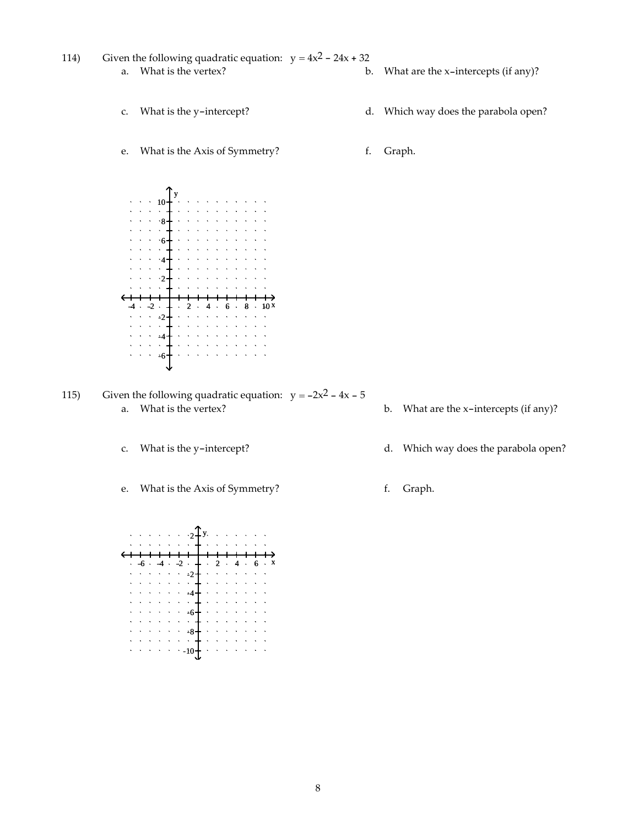- 114) Given the following quadratic equation:  $y = 4x^2 24x + 32$ a. What is the vertex? b. What are the x-intercepts (if any)?
	- c. What is the y-intercept? d. Which way does the parabola open?
	- e. What is the Axis of Symmetry? f. Graph.

y 10 8  $\cdot 6$  $\cdot$ <sup>4</sup>  $\Delta$  $\cdot$ <sub>2</sub>  $-2 \cdot 4 \cdot 2 \cdot 4 \cdot 6$  $\frac{2}{1}$  $\mathcal{L}$  $\cdot$ 4  $\ddot{\phantom{a}}$  $\sim$  $\ddot{\phantom{a}}$  $\Delta$  $\bar{\mathcal{A}}$  $\sim$  $\ddot{\phantom{a}}$  $\bar{\mathbf{x}}$  $\Delta$  $\mathbf{r}$  $\mathcal{A}=\mathcal{A}=\mathcal{A}=\mathcal{A}=\mathcal{A}$ -6

115) Given the following quadratic equation:  $y = -2x^2 - 4x - 5$ a. What is the vertex? b. What are the x-intercepts (if any)?

- 
- e. What is the Axis of Symmetry? f. Graph.



- 
- c. What is the y-intercept? d. Which way does the parabola open?
	-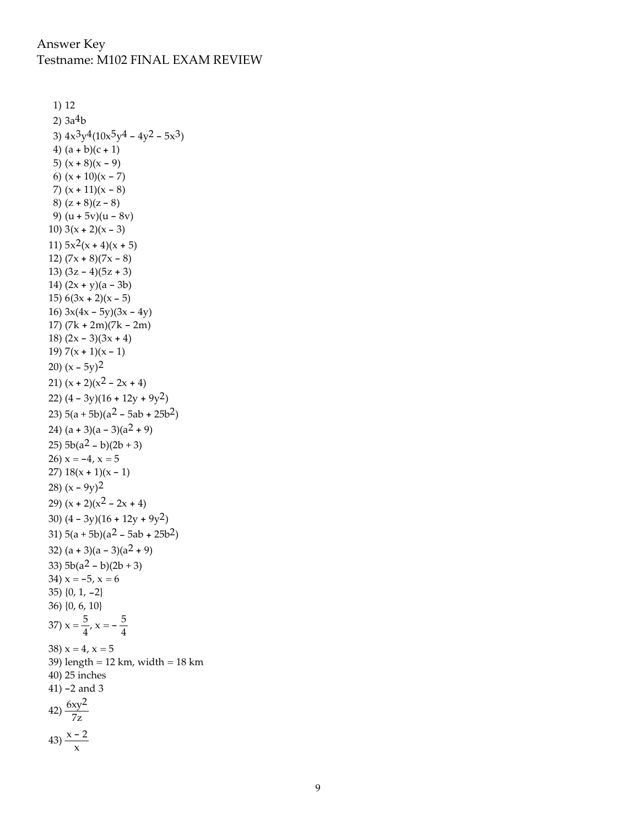```
1) 12
 2) 3a^4b3) 4x^3y^4(10x^5y^4 - 4y^2 - 5x^3)4) (a + b)(c + 1)5) (x + 8)(x - 9)6) (x + 10)(x - 7)7) (x + 11)(x - 8)8) (z + 8)(z - 8)9) (u + 5v)(u - 8v)10) 3(x + 2)(x - 3)11) 5x^2(x+4)(x+5)12) (7x + 8)(7x - 8)13) (3z - 4)(5z + 3)14) (2x + y)(a - 3b)15) 6(3x + 2)(x - 5)16) 3x(4x - 5y)(3x - 4y)17) (7k + 2m)(7k - 2m)
18) (2x - 3)(3x + 4)19) 7(x + 1)(x - 1)20) (x - 5y)^221) (x + 2)(x^2 - 2x + 4)22) (4 - 3y)(16 + 12y + 9y^2)23) 5(a + 5b)(a<sup>2</sup> – 5ab + 25b<sup>2</sup>)24) (a + 3)(a - 3)(a<sup>2</sup> + 9)25) 5b(a^2 - b)(2b + 3)26) x = -4, x = 527) 18(x + 1)(x - 1)28) (x - 9y)^229) (x + 2)(x^2 - 2x + 4)30) (4 - 3y)(16 + 12y + 9y^2)31) 5(a + 5b)(a<sup>2</sup> – 5ab + 25b<sup>2</sup>)32) (a + 3)(a - 3)(a<sup>2</sup> + 9)33) 5b(a^2 - b)(2b + 3)34) x = -5, x = 635) {0, 1, -2}
36) {0, 6, 10}
37) x = \frac{5}{4}, x = -\frac{5}{4}38) x = 4, x = 539) length = 12 km, width = 18 km
40) 25 inches
41) -2 and 3
42) \frac{6xy^2}{7z}43) \frac{x-2}{x}
```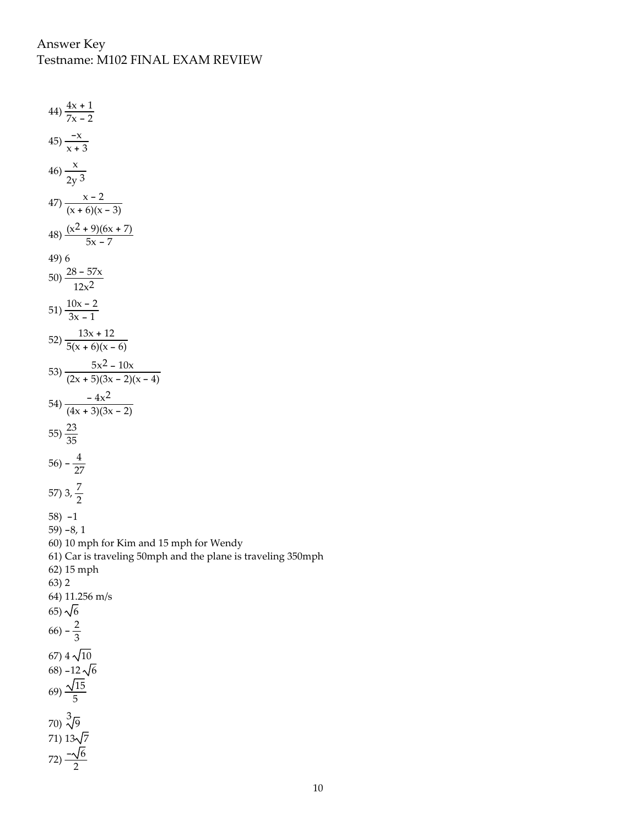44)  $\frac{4x+1}{7x-2}$  $45\frac{-x}{x+3}$  $46) - \frac{x}{x}$ 2y 3  $47) \frac{x-2}{(x+6)(x-3)}$  $48) \frac{(x^2 + 9)(6x + 7)}{5x - 7}$ 49) 6  $(50)\frac{28-57x}{2}$  $12x^2$ 51)  $\frac{10x-2}{3x-1}$ 52)  $\frac{13x + 12}{5(x + 6)(x - 6)}$ 53)  $\frac{5x^2 - 10x}{(2x + 5)(3x - 2)(x - 4)}$ 54)  $\frac{-4x^2}{(4x+3)(3x-2)}$ 55)  $\frac{23}{35}$  $(56) - \frac{4}{27}$ 57) 3,  $\frac{7}{2}$ 58) -1 59) -8, 1 60) 10 mph for Kim and 15 mph for Wendy 61) Car is traveling 50mph and the plane is traveling 350mph 62) 15 mph 63) 2 64) 11.256 m/s 65)  $\sqrt{6}$  $(66) - \frac{2}{3}$ 67)  $4\sqrt{10}$ 68)  $-12\sqrt{6}$ 69)  $\frac{\sqrt{15}}{5}$  $(70)\frac{3}{\sqrt{9}}$ 71)  $13\sqrt{7}$ 72)  $\frac{-\sqrt{6}}{2}$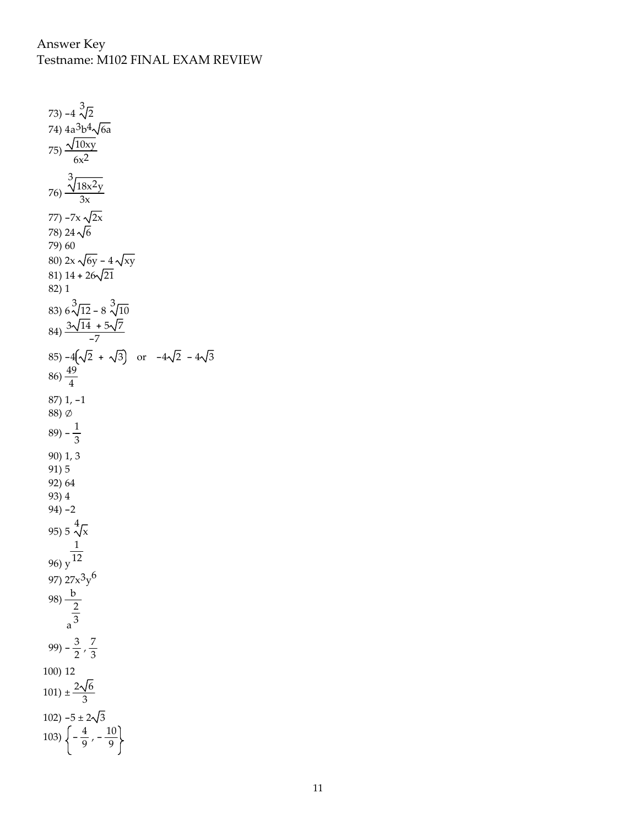73) -4 $\sqrt[3]{2}$ 74) 4a<sup>3</sup>b<sup>4</sup>√6a 75)  $\frac{\sqrt{10xy}}{2}$  $6x^2$ 76) 3 18x2y 3x 77)  $-7x \sqrt{2x}$ 78) 24 $\sqrt{6}$ 79) 60 80) 2x  $\sqrt{6y} - 4\sqrt{xy}$ 81)  $14 + 26\sqrt{21}$ 82) 1 83)  $6\sqrt[3]{12} - 8\sqrt[3]{10}$  $(84) \frac{3\sqrt{14} + 5\sqrt{7}}{-7}$ 85)  $-4(\sqrt{2} + \sqrt{3})$  or  $-4\sqrt{2} - 4\sqrt{3}$  $(86)\frac{49}{4}$ 87) 1, -1 88) ∅  $(89) - \frac{1}{3}$ 90) 1, 3 91) 5 92) 64 93) 4 94) -2 95) 5  $\frac{4}{\sqrt{x}}$ 96) y 1 12 97) 27x<sup>3</sup>y<sup>6</sup> 98)  $\frac{b}{2}$ a 2 3 99)  $-\frac{3}{2}$ ,  $\frac{7}{3}$ 100) 12  $101) \pm \frac{2\sqrt{6}}{3}$ 102) -5 ±  $2\sqrt{3}$ 103)  $\left\{-\frac{4}{9}, -\frac{10}{9}\right\}$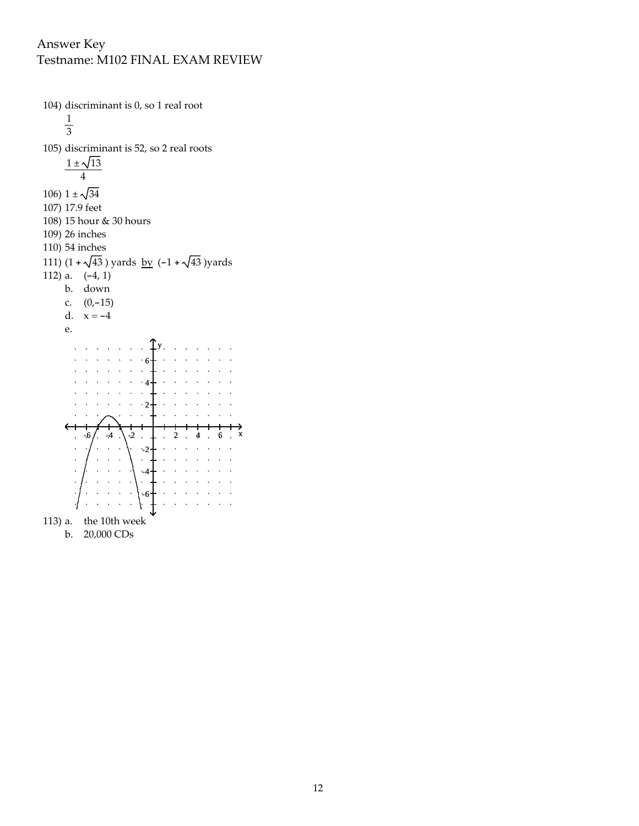104) discriminant is 0, so 1 real root 1 3 105) discriminant is 52, so 2 real roots  $1 \pm \sqrt{13}$ 4 106) $1\pm\sqrt{34}$ 107) 17.9 feet 108) 15 hour & 30 hours 109) 26 inches 110) 54 inches 111)  $(1 + \sqrt{43})$  yards by  $(-1 + \sqrt{43})$  yards 112) a.  $(-4, 1)$ b. down c. (0,-15) d.  $x = -4$ e. y  $\sqrt{1-\sqrt{2}}$  $\ddot{\phantom{a}}$  $\ddot{\phantom{a}}$ 6 4  $\mathcal{D}$  $-6$ ,  $-4$ ,  $-2$ ,  $1$ ,  $2$ ,  $4$ ,  $6$ ,  $x$ -2 -4 -6 113) a. the 10th week b. 20,000 CDs